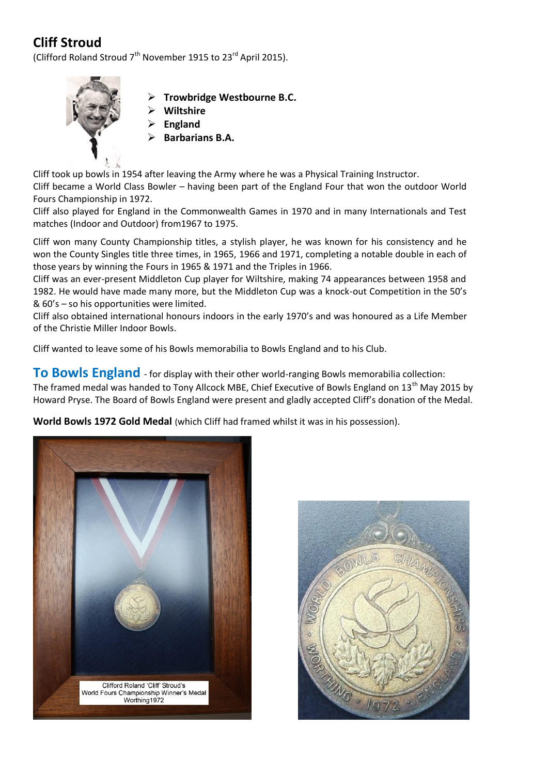## **Cliff Stroud**

(Clifford Roland Stroud  $7<sup>th</sup>$  November 1915 to 23<sup>rd</sup> April 2015).



- **Trowbridge Westbourne B.C.**
- **Wiltshire**
- **England**
- **Barbarians B.A.**

Cliff took up bowls in 1954 after leaving the Army where he was a Physical Training Instructor. Cliff became a World Class Bowler – having been part of the England Four that won the outdoor World Fours Championship in 1972.

Cliff also played for England in the Commonwealth Games in 1970 and in many Internationals and Test matches (Indoor and Outdoor) from1967 to 1975.

Cliff won many County Championship titles, a stylish player, he was known for his consistency and he won the County Singles title three times, in 1965, 1966 and 1971, completing a notable double in each of those years by winning the Fours in 1965 & 1971 and the Triples in 1966.

Cliff was an ever-present Middleton Cup player for Wiltshire, making 74 appearances between 1958 and 1982. He would have made many more, but the Middleton Cup was a knock-out Competition in the 50's & 60's – so his opportunities were limited.

Cliff also obtained international honours indoors in the early 1970's and was honoured as a Life Member of the Christie Miller Indoor Bowls.

Cliff wanted to leave some of his Bowls memorabilia to Bowls England and to his Club.

**To Bowls England** - for display with their other world-ranging Bowls memorabilia collection:

The framed medal was handed to Tony Allcock MBE, Chief Executive of Bowls England on 13<sup>th</sup> May 2015 by Howard Pryse. The Board of Bowls England were present and gladly accepted Cliff's donation of the Medal.

**World Bowls 1972 Gold Medal** (which Cliff had framed whilst it was in his possession).



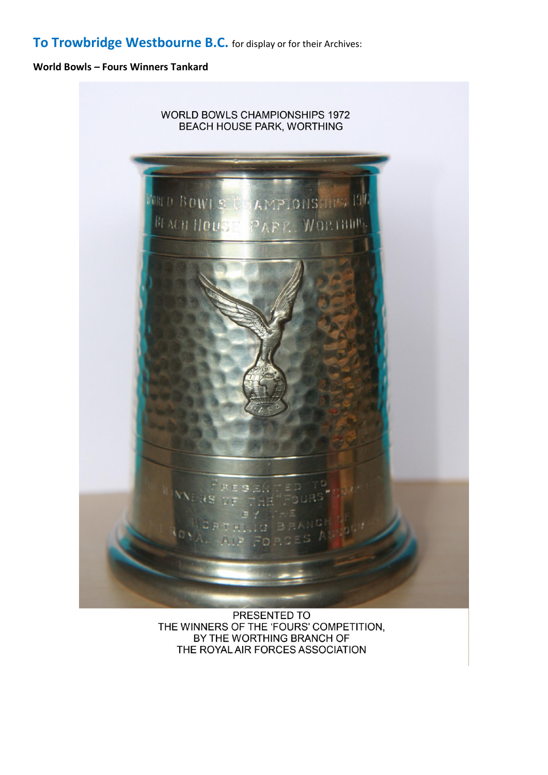## **To Trowbridge Westbourne B.C.** for display or for their Archives:

## **World Bowls – Fours Winners Tankard**



PRESENTED TO THE WINNERS OF THE 'FOURS' COMPETITION, BY THE WORTHING BRANCH OF THE ROYAL AIR FORCES ASSOCIATION